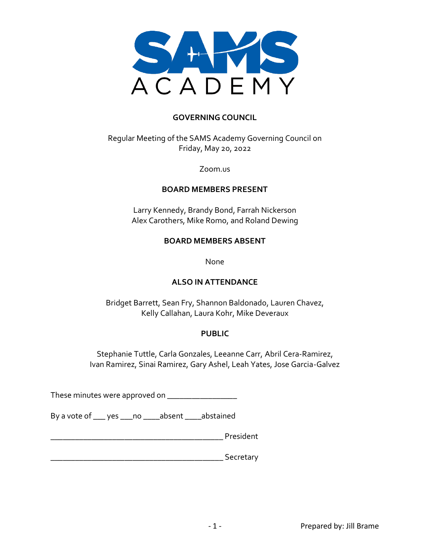

#### **GOVERNING COUNCIL**

Regular Meeting of the SAMS Academy Governing Council on Friday, May 20, 2022

Zoom.us

#### **BOARD MEMBERS PRESENT**

Larry Kennedy, Brandy Bond, Farrah Nickerson Alex Carothers, Mike Romo, and Roland Dewing

#### **BOARD MEMBERS ABSENT**

None

#### **ALSO IN ATTENDANCE**

Bridget Barrett, Sean Fry, Shannon Baldonado, Lauren Chavez, Kelly Callahan, Laura Kohr, Mike Deveraux

#### **PUBLIC**

Stephanie Tuttle, Carla Gonzales, Leeanne Carr, Abril Cera-Ramirez, Ivan Ramirez, Sinai Ramirez, Gary Ashel, Leah Yates, Jose Garcia-Galvez

These minutes were approved on \_\_\_\_\_\_\_\_\_\_\_\_\_\_\_\_\_\_\_\_

By a vote of \_\_\_ yes \_\_\_no \_\_\_\_absent \_\_\_\_abstained

\_\_\_\_\_\_\_\_\_\_\_\_\_\_\_\_\_\_\_\_\_\_\_\_\_\_\_\_\_\_\_\_\_\_\_\_\_\_\_\_\_\_ President

 $\overline{\phantom{a}}$  Secretary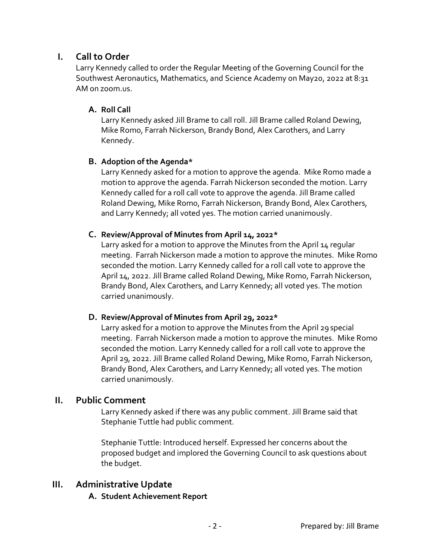# **I. Call to Order**

Larry Kennedy called to order the Regular Meeting of the Governing Council for the Southwest Aeronautics, Mathematics, and Science Academy on May20, 2022 at 8:31 AM on zoom.us.

## **A. Roll Call**

Larry Kennedy asked Jill Brame to call roll. Jill Brame called Roland Dewing, Mike Romo, Farrah Nickerson, Brandy Bond, Alex Carothers, and Larry Kennedy.

# **B. Adoption of the Agenda\***

Larry Kennedy asked for a motion to approve the agenda. Mike Romo made a motion to approve the agenda. Farrah Nickerson seconded the motion. Larry Kennedy called for a roll call vote to approve the agenda. Jill Brame called Roland Dewing, Mike Romo, Farrah Nickerson, Brandy Bond, Alex Carothers, and Larry Kennedy; all voted yes. The motion carried unanimously.

# **C. Review/Approval of Minutes from April 14, 2022\***

Larry asked for a motion to approve the Minutes from the April 14 regular meeting. Farrah Nickerson made a motion to approve the minutes. Mike Romo seconded the motion. Larry Kennedy called for a roll call vote to approve the April 14, 2022. Jill Brame called Roland Dewing, Mike Romo, Farrah Nickerson, Brandy Bond, Alex Carothers, and Larry Kennedy; all voted yes. The motion carried unanimously.

## **D. Review/Approval of Minutes from April 29, 2022\***

Larry asked for a motion to approve the Minutes from the April 29 special meeting. Farrah Nickerson made a motion to approve the minutes. Mike Romo seconded the motion. Larry Kennedy called for a roll call vote to approve the April 29, 2022. Jill Brame called Roland Dewing, Mike Romo, Farrah Nickerson, Brandy Bond, Alex Carothers, and Larry Kennedy; all voted yes. The motion carried unanimously.

# **II. Public Comment**

Larry Kennedy asked if there was any public comment. Jill Brame said that Stephanie Tuttle had public comment.

Stephanie Tuttle: Introduced herself. Expressed her concerns about the proposed budget and implored the Governing Council to ask questions about the budget.

# **III. Administrative Update**

## **A. Student Achievement Report**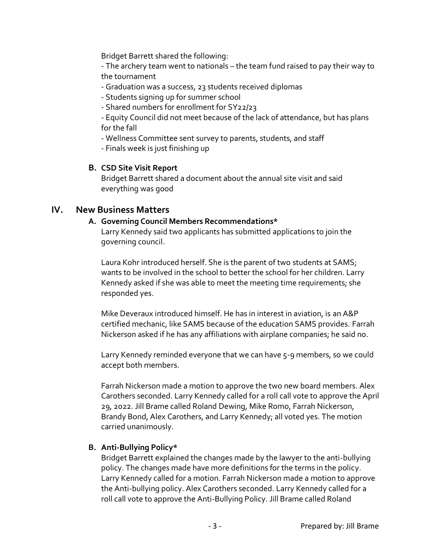Bridget Barrett shared the following:

- The archery team went to nationals – the team fund raised to pay their way to the tournament

- Graduation was a success, 23 students received diplomas
- Students signing up for summer school
- Shared numbers for enrollment for SY22/23

- Equity Council did not meet because of the lack of attendance, but has plans for the fall

- Wellness Committee sent survey to parents, students, and staff

- Finals week is just finishing up

## **B. CSD Site Visit Report**

Bridget Barrett shared a document about the annual site visit and said everything was good

# **IV. New Business Matters**

#### **A. Governing Council Members Recommendations\***

Larry Kennedy said two applicants has submitted applications to join the governing council.

Laura Kohr introduced herself. She is the parent of two students at SAMS; wants to be involved in the school to better the school for her children. Larry Kennedy asked if she was able to meet the meeting time requirements; she responded yes.

Mike Deveraux introduced himself. He has in interest in aviation, is an A&P certified mechanic, like SAMS because of the education SAMS provides. Farrah Nickerson asked if he has any affiliations with airplane companies; he said no.

Larry Kennedy reminded everyone that we can have 5-9 members, so we could accept both members.

Farrah Nickerson made a motion to approve the two new board members. Alex Carothers seconded. Larry Kennedy called for a roll call vote to approve the April 29, 2022. Jill Brame called Roland Dewing, Mike Romo, Farrah Nickerson, Brandy Bond, Alex Carothers, and Larry Kennedy; all voted yes. The motion carried unanimously.

## **B. Anti-Bullying Policy\***

Bridget Barrett explained the changes made by the lawyer to the anti-bullying policy. The changes made have more definitions for the terms in the policy. Larry Kennedy called for a motion. Farrah Nickerson made a motion to approve the Anti-bullying policy. Alex Carothers seconded. Larry Kennedy called for a roll call vote to approve the Anti-Bullying Policy. Jill Brame called Roland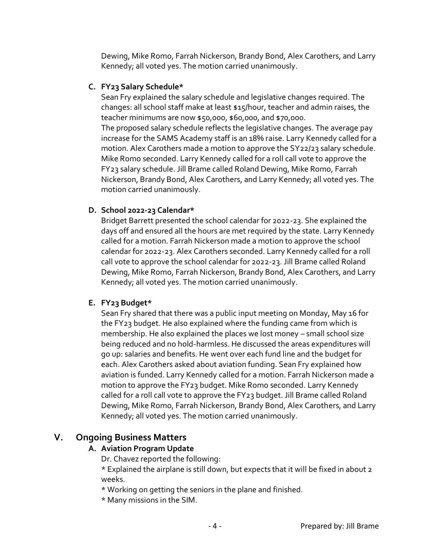Dewing, Mike Romo, Farrah Nickerson, Brandy Bond, Alex Carothers, and Larry Kennedy; all voted yes. The motion carried unanimously.

#### **C. FY23 Salary Schedule\***

Sean Fry explained the salary schedule and legislative changes required. The changes: all school staff make at least \$15/hour, teacher and admin raises, the teacher minimums are now \$50,000, \$60,000, and \$70,000.

The proposed salary schedule reflects the legislative changes. The average pay increase for the SAMS Academy staff is an 18% raise. Larry Kennedy called for a motion. Alex Carothers made a motion to approve the SY22/23 salary schedule. Mike Romo seconded. Larry Kennedy called for a roll call vote to approve the FY23 salary schedule. Jill Brame called Roland Dewing, Mike Romo, Farrah Nickerson, Brandy Bond, Alex Carothers, and Larry Kennedy; all voted yes. The motion carried unanimously.

## **D. School 2022-23 Calendar\***

Bridget Barrett presented the school calendar for 2022-23. She explained the days off and ensured all the hours are met required by the state. Larry Kennedy called for a motion. Farrah Nickerson made a motion to approve the school calendar for 2022-23. Alex Carothers seconded. Larry Kennedy called for a roll call vote to approve the school calendar for 2022-23. Jill Brame called Roland Dewing, Mike Romo, Farrah Nickerson, Brandy Bond, Alex Carothers, and Larry Kennedy; all voted yes. The motion carried unanimously.

## **E. FY23 Budget\***

Sean Fry shared that there was a public input meeting on Monday, May 16 for the FY23 budget. He also explained where the funding came from which is membership. He also explained the places we lost money – small school size being reduced and no hold-harmless. He discussed the areas expenditures will go up: salaries and benefits. He went over each fund line and the budget for each. Alex Carothers asked about aviation funding. Sean Fry explained how aviation is funded. Larry Kennedy called for a motion. Farrah Nickerson made a motion to approve the FY23 budget. Mike Romo seconded. Larry Kennedy called for a roll call vote to approve the FY23 budget. Jill Brame called Roland Dewing, Mike Romo, Farrah Nickerson, Brandy Bond, Alex Carothers, and Larry Kennedy; all voted yes. The motion carried unanimously.

# **V. Ongoing Business Matters**

## **A. Aviation Program Update**

Dr. Chavez reported the following:

\* Explained the airplane is still down, but expects that it will be fixed in about 2 weeks.

- \* Working on getting the seniors in the plane and finished.
- \* Many missions in the SIM.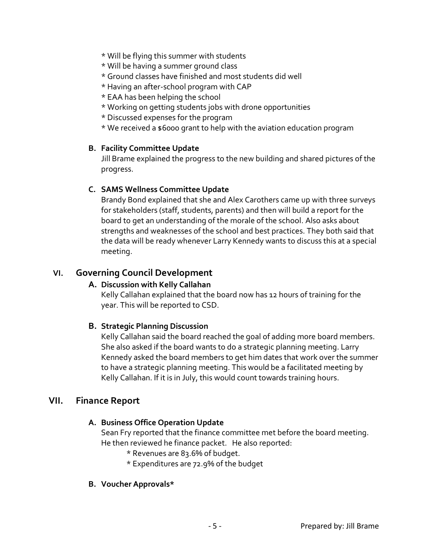- \* Will be flying this summer with students
- \* Will be having a summer ground class
- \* Ground classes have finished and most students did well
- \* Having an after-school program with CAP
- \* EAA has been helping the school
- \* Working on getting students jobs with drone opportunities
- \* Discussed expenses for the program
- \* We received a \$6000 grant to help with the aviation education program

## **B. Facility Committee Update**

Jill Brame explained the progress to the new building and shared pictures of the progress.

## **C. SAMS Wellness Committee Update**

Brandy Bond explained that she and Alex Carothers came up with three surveys for stakeholders (staff, students, parents) and then will build a report for the board to get an understanding of the morale of the school. Also asks about strengths and weaknesses of the school and best practices. They both said that the data will be ready whenever Larry Kennedy wants to discuss this at a special meeting.

# **VI. Governing Council Development**

## **A. Discussion with Kelly Callahan**

Kelly Callahan explained that the board now has 12 hours of training for the year. This will be reported to CSD.

## **B. Strategic Planning Discussion**

Kelly Callahan said the board reached the goal of adding more board members. She also asked if the board wants to do a strategic planning meeting. Larry Kennedy asked the board members to get him dates that work over the summer to have a strategic planning meeting. This would be a facilitated meeting by Kelly Callahan. If it is in July, this would count towards training hours.

## **VII. Finance Report**

## **A. Business Office Operation Update**

Sean Fry reported that the finance committee met before the board meeting. He then reviewed he finance packet. He also reported:

- \* Revenues are 83.6% of budget.
- \* Expenditures are 72.9% of the budget

#### **B. Voucher Approvals\***